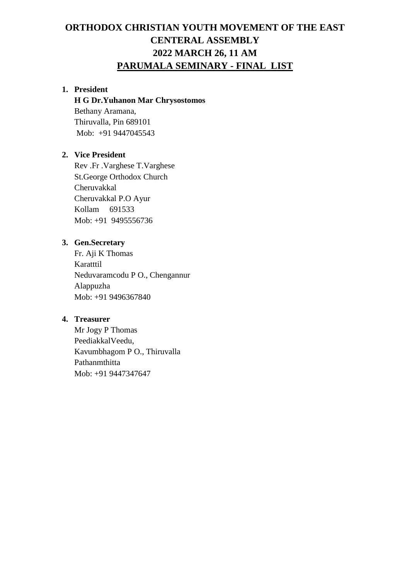# **ORTHODOX CHRISTIAN YOUTH MOVEMENT OF THE EAST CENTERAL ASSEMBLY 2022 MARCH 26, 11 AM PARUMALA SEMINARY - FINAL LIST**

# **1. President**

## **H G Dr.Yuhanon Mar Chrysostomos**

Bethany Aramana, Thiruvalla, Pin 689101 Mob: +91 9447045543

#### **2. Vice President**

Rev .Fr .Varghese T.Varghese St.George Orthodox Church Cheruvakkal Cheruvakkal P.O Ayur Kollam 691533 Mob: +91 9495556736

#### **3. Gen.Secretary**

Fr. Aji K Thomas Karatttil Neduvaramcodu P O., Chengannur Alappuzha Mob: +91 9496367840

#### **4. Treasurer**

Mr Jogy P Thomas PeediakkalVeedu, Kavumbhagom P O., Thiruvalla Pathanmthitta Mob: +91 9447347647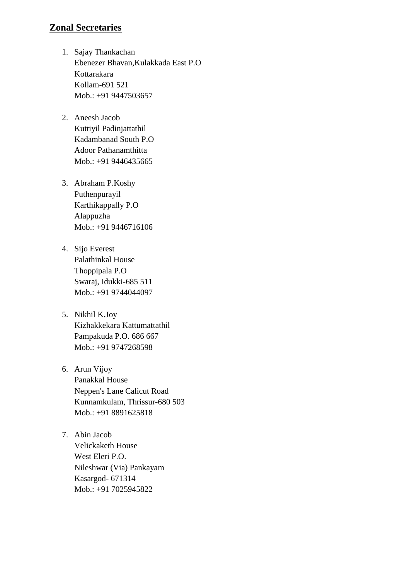# **Zonal Secretaries**

- 1. Sajay Thankachan Ebenezer Bhavan,Kulakkada East P.O Kottarakara Kollam-691 521 Mob.: +91 9447503657
- 2. Aneesh Jacob Kuttiyil Padinjattathil Kadambanad South P.O Adoor Pathanamthitta Mob.: +91 9446435665
- 3. Abraham P.Koshy Puthenpurayil Karthikappally P.O Alappuzha Mob.: +91 9446716106
- 4. Sijo Everest Palathinkal House Thoppipala P.O Swaraj, Idukki-685 511 Mob.: +91 9744044097
- 5. Nikhil K.Joy Kizhakkekara Kattumattathil Pampakuda P.O. 686 667 Mob.: +91 9747268598
- 6. Arun Vijoy Panakkal House Neppen's Lane Calicut Road Kunnamkulam, Thrissur-680 503 Mob.: +91 8891625818
- 7. Abin Jacob Velickaketh House West Eleri P.O. Nileshwar (Via) Pankayam Kasargod- 671314 Mob.: +91 7025945822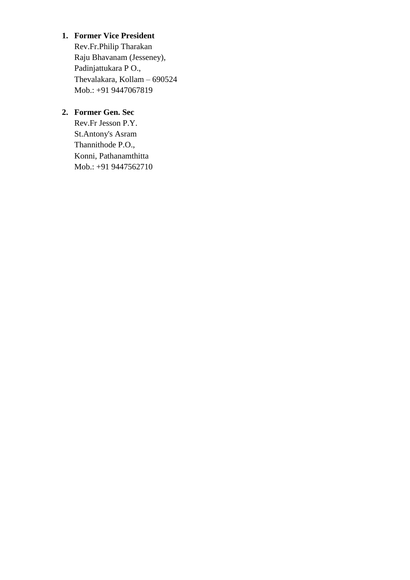# **1. Former Vice President**

Rev.Fr.Philip Tharakan Raju Bhavanam (Jesseney), Padinjattukara P O., Thevalakara, Kollam – 690524 Mob.: +91 9447067819

# **2. Former Gen. Sec**

Rev.Fr Jesson P.Y. St.Antony's Asram Thannithode P.O., Konni, Pathanamthitta Mob.: +91 9447562710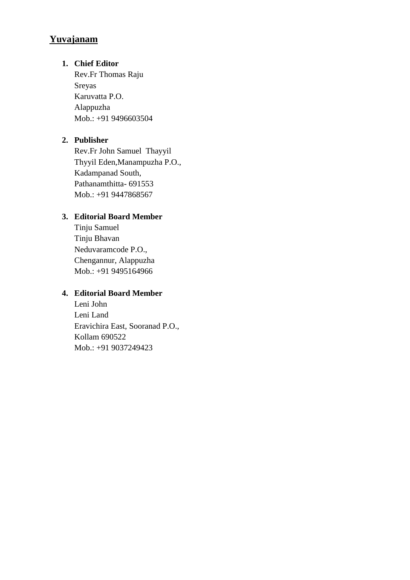# **Yuvajanam**

#### **1. Chief Editor**

Rev.Fr Thomas Raju Sreyas Karuvatta P.O. Alappuzha Mob.: +91 9496603504

## **2. Publisher**

Rev.Fr John Samuel Thayyil Thyyil Eden,Manampuzha P.O., Kadampanad South, Pathanamthitta- 691553 Mob.: +91 9447868567

# **3. Editorial Board Member**

Tinju Samuel Tinju Bhavan Neduvaramcode P.O., Chengannur, Alappuzha Mob.: +91 9495164966

# **4. Editorial Board Member**

Leni John Leni Land Eravichira East, Sooranad P.O., Kollam 690522 Mob.: +91 9037249423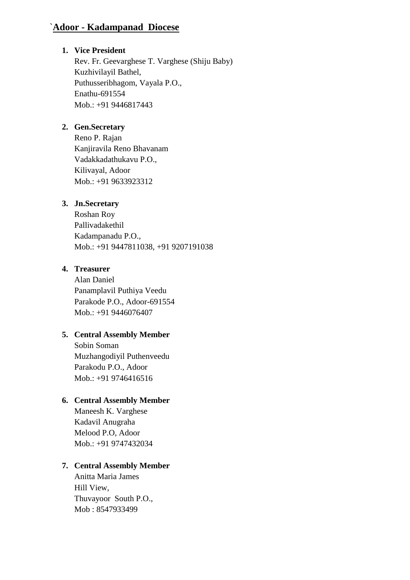# `**Adoor - Kadampanad Diocese**

#### **1. Vice President**

Rev. Fr. Geevarghese T. Varghese (Shiju Baby) Kuzhivilayil Bathel, Puthusseribhagom, Vayala P.O., Enathu-691554 Mob.: +91 9446817443

## **2. Gen.Secretary**

Reno P. Rajan Kanjiravila Reno Bhavanam Vadakkadathukavu P.O., Kilivayal, Adoor Mob.: +91 9633923312

#### **3. Jn.Secretary**

Roshan Roy Pallivadakethil Kadampanadu P.O., Mob.: +91 9447811038, +91 9207191038

# **4. Treasurer**

Alan Daniel Panamplavil Puthiya Veedu Parakode P.O., Adoor-691554 Mob.: +91 9446076407

#### **5. Central Assembly Member**

Sobin Soman Muzhangodiyil Puthenveedu Parakodu P.O., Adoor Mob.: +91 9746416516

#### **6. Central Assembly Member**

Maneesh K. Varghese Kadavil Anugraha Melood P.O, Adoor Mob.: +91 9747432034

#### **7. Central Assembly Member**

Anitta Maria James Hill View, Thuvayoor South P.O., Mob : 8547933499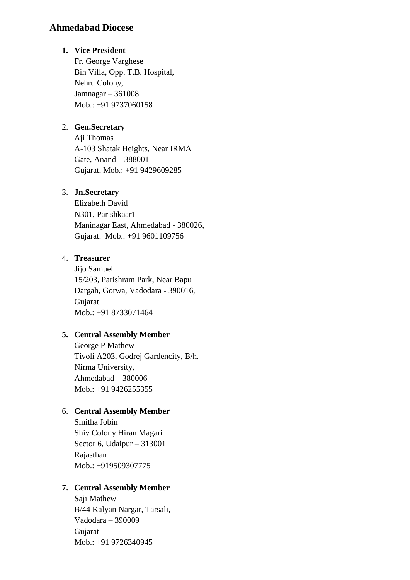# **Ahmedabad Diocese**

#### **1. Vice President**

Fr. George Varghese Bin Villa, Opp. T.B. Hospital, Nehru Colony, Jamnagar – 361008 Mob.: +91 9737060158

## 2. **Gen.Secretary**

Aji Thomas A-103 Shatak Heights, Near IRMA Gate, Anand – 388001 Gujarat, Mob.: +91 9429609285

#### 3. **Jn.Secretary**

Elizabeth David N301, Parishkaar1 Maninagar East, Ahmedabad - 380026, Gujarat. Mob.: +91 9601109756

#### 4. **Treasurer**

Jijo Samuel 15/203, Parishram Park, Near Bapu Dargah, Gorwa, Vadodara - 390016, Gujarat Mob.: +91 8733071464

# **5. Central Assembly Member**

George P Mathew Tivoli A203, Godrej Gardencity, B/h. Nirma University, Ahmedabad – 380006 Mob.: +91 9426255355

# 6. **Central Assembly Member**

Smitha Jobin Shiv Colony Hiran Magari Sector 6, Udaipur – 313001 Rajasthan Mob.: +919509307775

#### **7. Central Assembly Member**

**S**aji Mathew B/44 Kalyan Nargar, Tarsali, Vadodara – 390009 Gujarat Mob.: +91 9726340945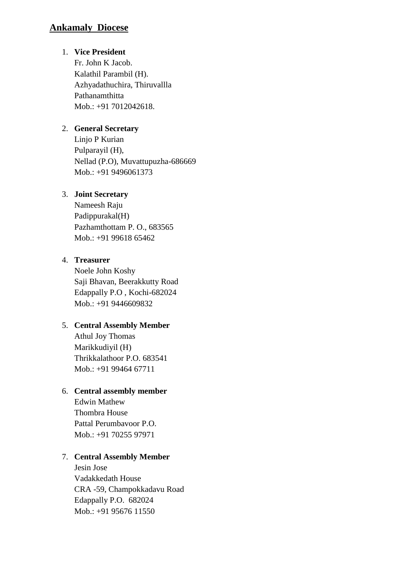# **Ankamaly Diocese**

#### 1. **Vice President**

Fr. John K Jacob. Kalathil Parambil (H). Azhyadathuchira, Thiruvallla Pathanamthitta Mob.: +91 7012042618.

## 2. **General Secretary**

Linjo P Kurian Pulparayil (H), Nellad (P.O), Muvattupuzha-686669 Mob.: +91 9496061373

#### 3. **Joint Secretary**

Nameesh Raju Padippurakal(H) Pazhamthottam P. O., 683565 Mob.: +91 99618 65462

## 4. **Treasurer**

Noele John Koshy Saji Bhavan, Beerakkutty Road Edappally P.O , Kochi-682024 Mob.: +91 9446609832

# 5. **Central Assembly Member**

Athul Joy Thomas Marikkudiyil (H) Thrikkalathoor P.O. 683541 Mob.: +91 99464 67711

#### 6. **Central assembly member**

Edwin Mathew Thombra House Pattal Perumbavoor P.O. Mob.: +91 70255 97971

# 7. **Central Assembly Member**

Jesin Jose Vadakkedath House CRA -59, Champokkadavu Road Edappally P.O. 682024 Mob.: +91 95676 11550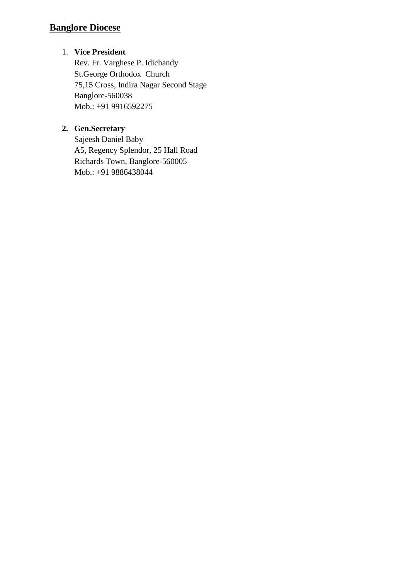# **Banglore Diocese**

# 1. **Vice President**

Rev. Fr. Varghese P. Idichandy St.George Orthodox Church 75,15 Cross, Indira Nagar Second Stage Banglore-560038 Mob.: +91 9916592275

# **2. Gen.Secretary**

Sajeesh Daniel Baby A5, Regency Splendor, 25 Hall Road Richards Town, Banglore-560005 Mob.: +91 9886438044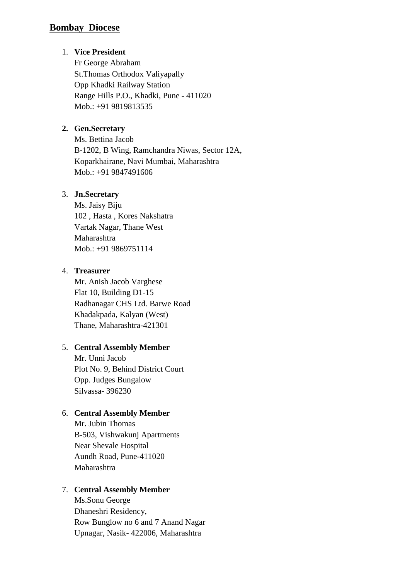# **Bombay Diocese**

#### 1. **Vice President**

Fr George Abraham St.Thomas Orthodox Valiyapally Opp Khadki Railway Station Range Hills P.O., Khadki, Pune - 411020 Mob.: +91 9819813535

#### **2. Gen.Secretary**

Ms. Bettina Jacob B-1202, B Wing, Ramchandra Niwas, Sector 12A, Koparkhairane, Navi Mumbai, Maharashtra Mob.: +91 9847491606

#### 3. **Jn.Secretary**

Ms. Jaisy Biju 102 , Hasta , Kores Nakshatra Vartak Nagar, Thane West Maharashtra Mob.: +91 9869751114

#### 4. **Treasurer**

Mr. Anish Jacob Varghese Flat 10, Building D1-15 Radhanagar CHS Ltd. Barwe Road Khadakpada, Kalyan (West) Thane, Maharashtra-421301

#### 5. **Central Assembly Member**

Mr. Unni Jacob Plot No. 9, Behind District Court Opp. Judges Bungalow Silvassa- 396230

### 6. **Central Assembly Member**

Mr. Jubin Thomas B-503, Vishwakunj Apartments Near Shevale Hospital Aundh Road, Pune-411020 Maharashtra

#### 7. **Central Assembly Member**

Ms.Sonu George Dhaneshri Residency, Row Bunglow no 6 and 7 Anand Nagar Upnagar, Nasik- 422006, Maharashtra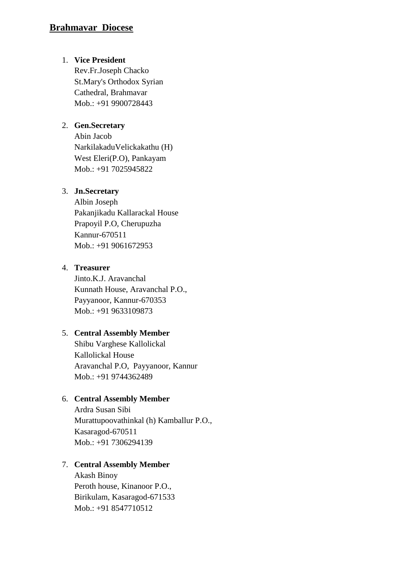# **Brahmavar Diocese**

#### 1. **Vice President**

Rev.Fr.Joseph Chacko St.Mary's Orthodox Syrian Cathedral, Brahmavar Mob.: +91 9900728443

## 2. **Gen.Secretary**

Abin Jacob NarkilakaduVelickakathu (H) West Eleri(P.O), Pankayam Mob.: +91 7025945822

#### 3. **Jn.Secretary**

Albin Joseph Pakanjikadu Kallarackal House Prapoyil P.O, Cherupuzha Kannur-670511 Mob.: +91 9061672953

#### 4. **Treasurer**

Jinto.K.J. Aravanchal Kunnath House, Aravanchal P.O., Payyanoor, Kannur-670353 Mob.: +91 9633109873

#### 5. **Central Assembly Member**

Shibu Varghese Kallolickal Kallolickal House Aravanchal P.O, Payyanoor, Kannur Mob.: +91 9744362489

#### 6. **Central Assembly Member**

Ardra Susan Sibi Murattupoovathinkal (h) Kamballur P.O., Kasaragod-670511 Mob.: +91 7306294139

## 7. **Central Assembly Member**

Akash Binoy Peroth house, Kinanoor P.O., Birikulam, Kasaragod-671533 Mob.: +91 8547710512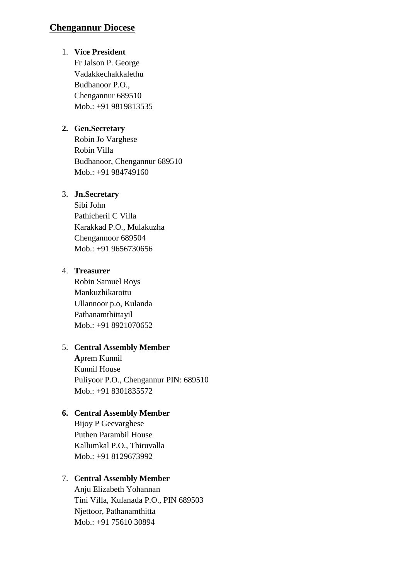# **Chengannur Diocese**

## 1. **Vice President**

Fr Jalson P. George Vadakkechakkalethu Budhanoor P.O., Chengannur 689510 Mob.: +91 9819813535

## **2. Gen.Secretary**

Robin Jo Varghese Robin Villa Budhanoor, Chengannur 689510 Mob.: +91 984749160

#### 3. **Jn.Secretary**

Sibi John Pathicheril C Villa Karakkad P.O., Mulakuzha Chengannoor 689504 Mob.: +91 9656730656

#### 4. **Treasurer**

Robin Samuel Roys Mankuzhikarottu Ullannoor p.o, Kulanda Pathanamthittayil Mob.: +91 8921070652

## 5. **Central Assembly Member**

**A**prem Kunnil Kunnil House Puliyoor P.O., Chengannur PIN: 689510 Mob.: +91 8301835572

#### **6. Central Assembly Member**

Bijoy P Geevarghese Puthen Parambil House Kallumkal P.O., Thiruvalla Mob.: +91 8129673992

#### 7. **Central Assembly Member**

Anju Elizabeth Yohannan Tini Villa, Kulanada P.O., PIN 689503 Njettoor, Pathanamthitta Mob.: +91 75610 30894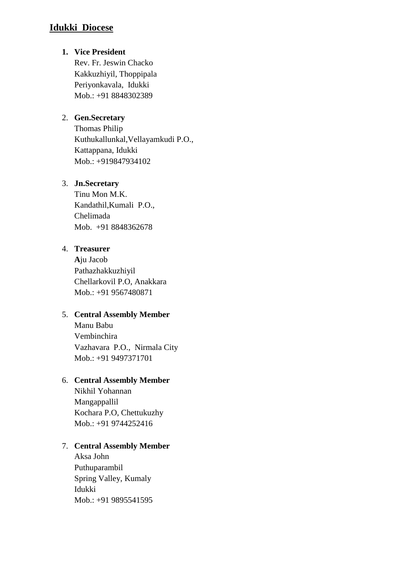# **Idukki Diocese**

## **1. Vice President**

Rev. Fr. Jeswin Chacko Kakkuzhiyil, Thoppipala Periyonkavala, Idukki Mob.: +91 8848302389

# 2. **Gen.Secretary**

Thomas Philip Kuthukallunkal,Vellayamkudi P.O., Kattappana, Idukki Mob.: +919847934102

### 3. **Jn.Secretary**

Tinu Mon M.K. Kandathil,Kumali P.O., Chelimada Mob. +91 8848362678

## 4. **Treasurer**

**A**ju Jacob Pathazhakkuzhiyil Chellarkovil P.O, Anakkara Mob.: +91 9567480871

## 5. **Central Assembly Member**

Manu Babu Vembinchira Vazhavara P.O., Nirmala City Mob.: +91 9497371701

#### 6. **Central Assembly Member**

Nikhil Yohannan Mangappallil Kochara P.O, Chettukuzhy Mob.: +91 9744252416

#### 7. **Central Assembly Member**

Aksa John Puthuparambil Spring Valley, Kumaly Idukki Mob.: +91 9895541595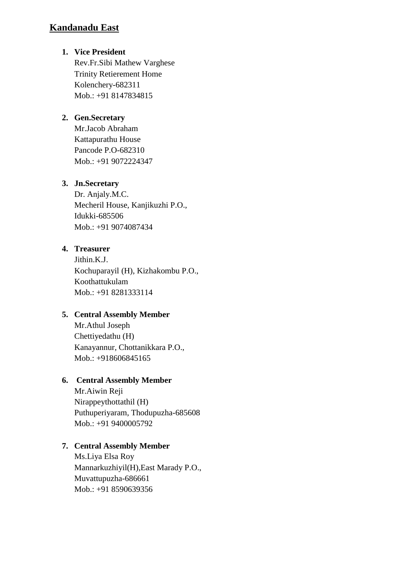# **Kandanadu East**

#### **1. Vice President**

Rev.Fr.Sibi Mathew Varghese Trinity Retierement Home Kolenchery-682311 Mob.: +91 8147834815

# **2. Gen.Secretary**

Mr.Jacob Abraham Kattapurathu House Pancode P.O-682310 Mob.: +91 9072224347

#### **3. Jn.Secretary**

Dr. Anjaly.M.C. Mecheril House, Kanjikuzhi P.O., Idukki-685506 Mob.: +91 9074087434

#### **4. Treasurer**

Jithin.K.J. Kochuparayil (H), Kizhakombu P.O., Koothattukulam Mob.: +91 8281333114

## **5. Central Assembly Member**

Mr.Athul Joseph Chettiyedathu (H) Kanayannur, Chottanikkara P.O., Mob.: +918606845165

#### **6. Central Assembly Member**

Mr.Aiwin Reji Nirappeythottathil (H) Puthuperiyaram, Thodupuzha-685608 Mob.: +91 9400005792

## **7. Central Assembly Member**

Ms.Liya Elsa Roy Mannarkuzhiyil(H),East Marady P.O., Muvattupuzha-686661 Mob.: +91 8590639356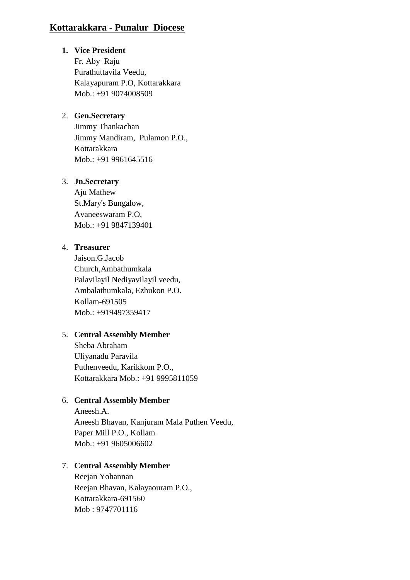# **Kottarakkara - Punalur Diocese**

## **1. Vice President**

Fr. Aby Raju Purathuttavila Veedu, Kalayapuram P.O, Kottarakkara Mob.: +91 9074008509

#### 2. **Gen.Secretary**

Jimmy Thankachan Jimmy Mandiram, Pulamon P.O., Kottarakkara Mob.: +91 9961645516

#### 3. **Jn.Secretary**

Aju Mathew St.Mary's Bungalow, Avaneeswaram P.O, Mob.: +91 9847139401

## 4. **Treasurer**

Jaison.G.Jacob Church,Ambathumkala Palavilayil Nediyavilayil veedu, Ambalathumkala, Ezhukon P.O. Kollam-691505 Mob.: +919497359417

#### 5. **Central Assembly Member**

Sheba Abraham Uliyanadu Paravila Puthenveedu, Karikkom P.O., Kottarakkara Mob.: +91 9995811059

## 6. **Central Assembly Member**

Aneesh.A. Aneesh Bhavan, Kanjuram Mala Puthen Veedu, Paper Mill P.O., Kollam Mob.: +91 9605006602

### 7. **Central Assembly Member**

Reejan Yohannan Reejan Bhavan, Kalayaouram P.O., Kottarakkara-691560 Mob : 9747701116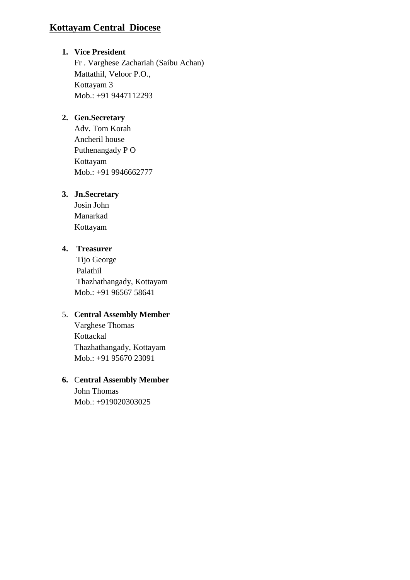# **Kottayam Central Diocese**

## **1. Vice President**

Fr . Varghese Zachariah (Saibu Achan) Mattathil, Veloor P.O., Kottayam 3 Mob.: +91 9447112293

# **2. Gen.Secretary**

Adv. Tom Korah Ancheril house Puthenangady P O Kottayam Mob.: +91 9946662777

# **3. Jn.Secretary**

Josin John Manarkad Kottayam

# **4. Treasurer**

Tijo George Palathil Thazhathangady, Kottayam Mob.: +91 96567 58641

# 5. **Central Assembly Member**

Varghese Thomas Kottackal Thazhathangady, Kottayam Mob.: +91 95670 23091

#### **6.** C**entral Assembly Member**

John Thomas Mob.: +919020303025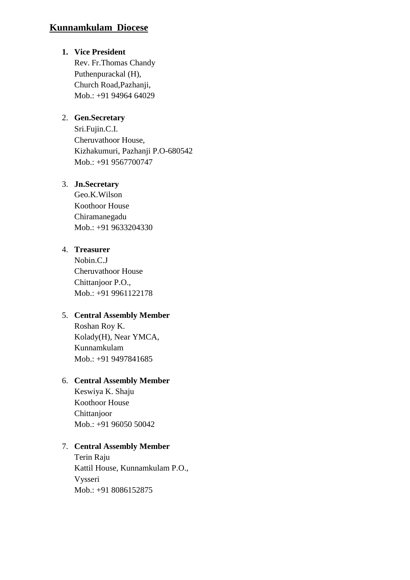# **Kunnamkulam Diocese**

#### **1. Vice President**

Rev. Fr.Thomas Chandy Puthenpurackal (H), Church Road,Pazhanji, Mob.: +91 94964 64029

#### 2. **Gen.Secretary**

Sri.Fujin.C.I. Cheruvathoor House, Kizhakumuri, Pazhanji P.O-680542 Mob.: +91 9567700747

#### 3. **Jn.Secretary**

Geo.K.Wilson Koothoor House Chiramanegadu Mob.: +91 9633204330

#### 4. **Treasurer**

Nobin.C.J Cheruvathoor House Chittanjoor P.O., Mob.: +91 9961122178

#### 5. **Central Assembly Member**

Roshan Roy K. Kolady(H), Near YMCA, Kunnamkulam Mob.: +91 9497841685

#### 6. **Central Assembly Member**

Keswiya K. Shaju Koothoor House Chittanjoor Mob.: +91 96050 50042

#### 7. **Central Assembly Member**

Terin Raju Kattil House, Kunnamkulam P.O., Vysseri Mob.: +91 8086152875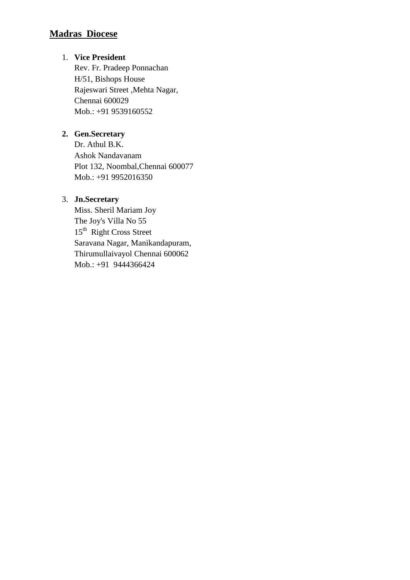# **Madras Diocese**

## 1. **Vice President**

Rev. Fr. Pradeep Ponnachan H/51, Bishops House Rajeswari Street ,Mehta Nagar, Chennai 600029 Mob.: +91 9539160552

# **2. Gen.Secretary**

Dr. Athul B.K. Ashok Nandavanam Plot 132, Noombal,Chennai 600077 Mob.: +91 9952016350

# 3. **Jn.Secretary**

Miss. Sheril Mariam Joy The Joy's Villa No 55 15<sup>th</sup> Right Cross Street Saravana Nagar, Manikandapuram, Thirumullaivayol Chennai 600062 Mob.: +91 9444366424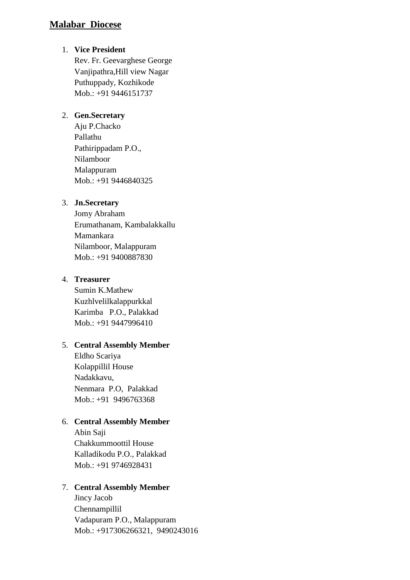## **Malabar Diocese**

#### 1. **Vice President**

Rev. Fr. Geevarghese George Vanjipathra,Hill view Nagar Puthuppady, Kozhikode Mob.: +91 9446151737

#### 2. **Gen.Secretary**

Aju P.Chacko Pallathu Pathirippadam P.O., Nilamboor Malappuram Mob.: +91 9446840325

#### 3. **Jn.Secretary**

Jomy Abraham Erumathanam, Kambalakkallu Mamankara Nilamboor, Malappuram Mob.: +91 9400887830

#### 4. **Treasurer**

Sumin K.Mathew Kuzhlvelilkalappurkkal Karimba P.O., Palakkad Mob.: +91 9447996410

#### 5. **Central Assembly Member**

Eldho Scariya Kolappillil House Nadakkavu, Nenmara P.O, Palakkad Mob.: +91 9496763368

#### 6. **Central Assembly Member**

Abin Saji Chakkummoottil House Kalladikodu P.O., Palakkad Mob.: +91 9746928431

## 7. **Central Assembly Member**

Jincy Jacob Chennampillil Vadapuram P.O., Malappuram Mob.: +917306266321, 9490243016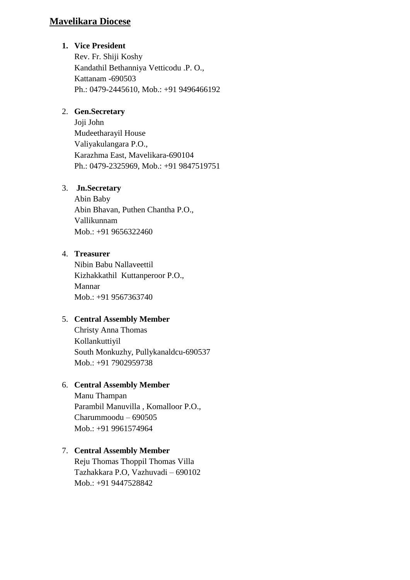# **Mavelikara Diocese**

#### **1. Vice President**

Rev. Fr. Shiji Koshy Kandathil Bethanniya Vetticodu .P. O., Kattanam -690503 Ph.: 0479-2445610, Mob.: +91 9496466192

#### 2. **Gen.Secretary**

Joji John Mudeetharayil House Valiyakulangara P.O., Karazhma East, Mavelikara-690104 Ph.: 0479-2325969, Mob.: +91 9847519751

#### 3. **Jn.Secretary**

Abin Baby Abin Bhavan, Puthen Chantha P.O., Vallikunnam Mob.: +91 9656322460

## 4. **Treasurer**

Nibin Babu Nallaveettil Kizhakkathil Kuttanperoor P.O., Mannar Mob.: +91 9567363740

## 5. **Central Assembly Member**

Christy Anna Thomas Kollankuttiyil South Monkuzhy, Pullykanaldcu-690537 Mob.: +91 7902959738

#### 6. **Central Assembly Member**

Manu Thampan Parambil Manuvilla , Komalloor P.O., Charummoodu – 690505 Mob.: +91 9961574964

#### 7. **Central Assembly Member**

Reju Thomas Thoppil Thomas Villa Tazhakkara P.O, Vazhuvadi – 690102 Mob.: +91 9447528842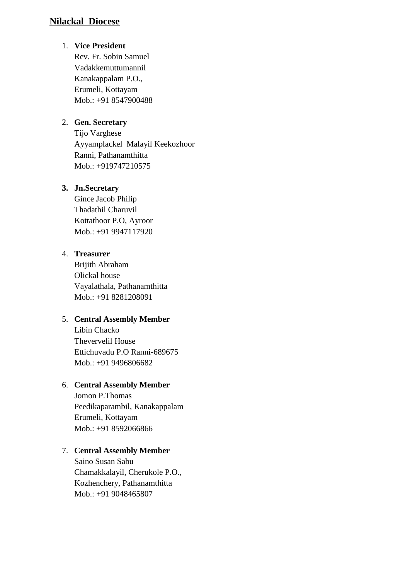## **Nilackal Diocese**

#### 1. **Vice President**

Rev. Fr. Sobin Samuel Vadakkemuttumannil Kanakappalam P.O., Erumeli, Kottayam Mob.: +91 8547900488

## 2. **Gen. Secretary**

Tijo Varghese Ayyamplackel Malayil Keekozhoor Ranni, Pathanamthitta Mob.: +919747210575

#### **3. Jn.Secretary**

Gince Jacob Philip Thadathil Charuvil Kottathoor P.O, Ayroor Mob.: +91 9947117920

# 4. **Treasurer**

Brijith Abraham Olickal house Vayalathala, Pathanamthitta Mob.: +91 8281208091

#### 5. **Central Assembly Member**

Libin Chacko Thevervelil House Ettichuvadu P.O Ranni-689675 Mob.: +91 9496806682

#### 6. **Central Assembly Member**

Jomon P.Thomas Peedikaparambil, Kanakappalam Erumeli, Kottayam Mob.: +91 8592066866

#### 7. **Central Assembly Member**

Saino Susan Sabu Chamakkalayil, Cherukole P.O., Kozhenchery, Pathanamthitta Mob.: +91 9048465807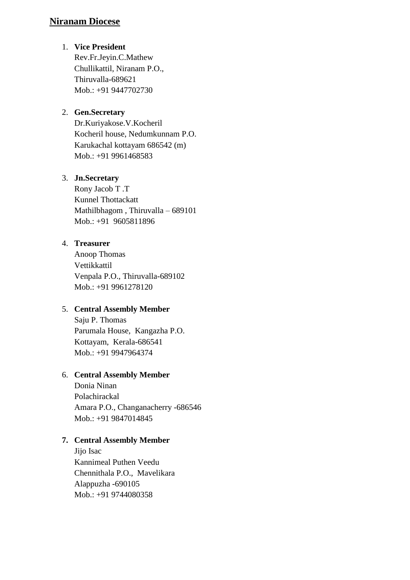# **Niranam Diocese**

## 1. **Vice President**

Rev.Fr.Jeyin.C.Mathew Chullikattil, Niranam P.O., Thiruvalla-689621 Mob.: +91 9447702730

# 2. **Gen.Secretary**

Dr.Kuriyakose.V.Kocheril Kocheril house, Nedumkunnam P.O. Karukachal kottayam 686542 (m) Mob.: +91 9961468583

# 3. **Jn.Secretary**

Rony Jacob T .T Kunnel Thottackatt Mathilbhagom , Thiruvalla – 689101 Mob.: +91 9605811896

# 4. **Treasurer**

Anoop Thomas Vettikkattil Venpala P.O., Thiruvalla-689102 Mob.: +91 9961278120

# 5. **Central Assembly Member**

Saju P. Thomas Parumala House, Kangazha P.O. Kottayam, Kerala-686541 Mob.: +91 9947964374

# 6. **Central Assembly Member**

Donia Ninan Polachirackal Amara P.O., Changanacherry -686546 Mob.: +91 9847014845

# **7. Central Assembly Member**

Jijo Isac Kannimeal Puthen Veedu Chennithala P.O., Mavelikara Alappuzha -690105 Mob.: +91 9744080358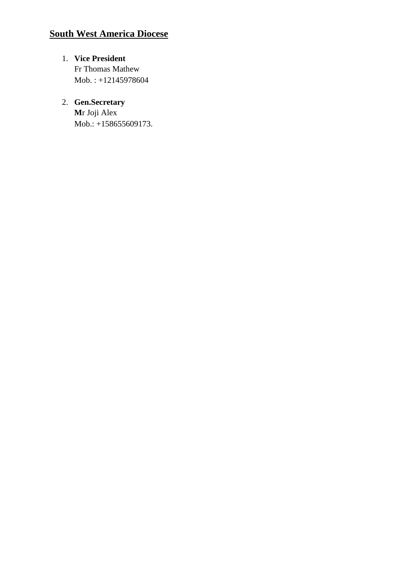1. **Vice President** Fr Thomas Mathew Mob. : +12145978604

# 2. **Gen.Secretary**

**M**r Joji Alex Mob.: +158655609173.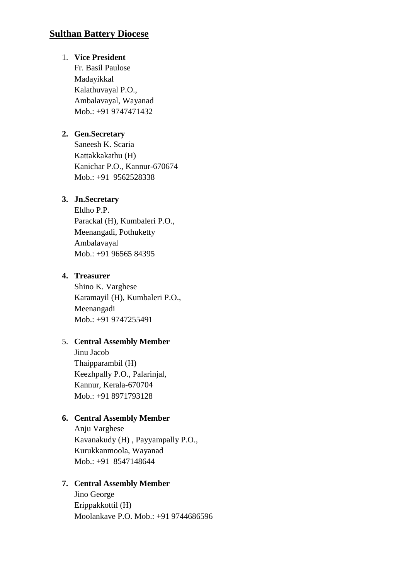# **Sulthan Battery Diocese**

# 1. **Vice President**

Fr. Basil Paulose Madayikkal Kalathuvayal P.O., Ambalavayal, Wayanad Mob.: +91 9747471432

## **2. Gen.Secretary**

Saneesh K. Scaria Kattakkakathu (H) Kanichar P.O., Kannur-670674 Mob.: +91 9562528338

## **3. Jn.Secretary**

Eldho P.P. Parackal (H), Kumbaleri P.O., Meenangadi, Pothuketty Ambalavayal Mob.: +91 96565 84395

## **4. Treasurer**

Shino K. Varghese Karamayil (H), Kumbaleri P.O., Meenangadi Mob.: +91 9747255491

# 5. **Central Assembly Member**

Jinu Jacob Thaipparambil (H) Keezhpally P.O., Palarinjal, Kannur, Kerala-670704 Mob.: +91 8971793128

# **6. Central Assembly Member**

Anju Varghese Kavanakudy (H) , Payyampally P.O., Kurukkanmoola, Wayanad Mob.: +91 8547148644

# **7. Central Assembly Member**

Jino George Erippakkottil (H) Moolankave P.O. Mob.: +91 9744686596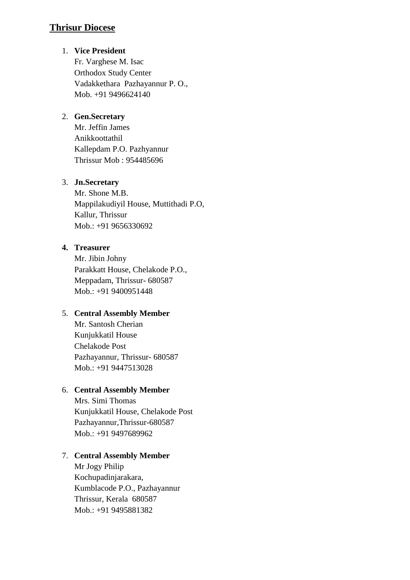# **Thrisur Diocese**

## 1. **Vice President**

Fr. Varghese M. Isac Orthodox Study Center Vadakkethara Pazhayannur P. O., Mob. +91 9496624140

# 2. **Gen.Secretary**

Mr. Jeffin James Anikkoottathil Kallepdam P.O. Pazhyannur Thrissur Mob : 954485696

# 3. **Jn.Secretary**

Mr. Shone M.B. Mappilakudiyil House, Muttithadi P.O, Kallur, Thrissur Mob.: +91 9656330692

# **4. Treasurer**

Mr. Jibin Johny Parakkatt House, Chelakode P.O., Meppadam, Thrissur- 680587 Mob.: +91 9400951448

# 5. **Central Assembly Member**

Mr. Santosh Cherian Kunjukkatil House Chelakode Post Pazhayannur, Thrissur- 680587 Mob.: +91 9447513028

# 6. **Central Assembly Member**

Mrs. Simi Thomas Kunjukkatil House, Chelakode Post Pazhayannur,Thrissur-680587 Mob.: +91 9497689962

# 7. **Central Assembly Member**

Mr Jogy Philip Kochupadinjarakara, Kumblacode P.O., Pazhayannur Thrissur, Kerala 680587 Mob.: +91 9495881382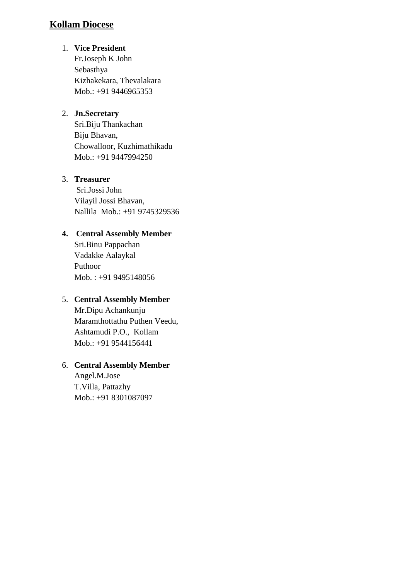# **Kollam Diocese**

#### 1. **Vice President**

Fr.Joseph K John Sebasthya Kizhakekara, Thevalakara Mob.: +91 9446965353

# 2. **Jn.Secretary**

Sri.Biju Thankachan Biju Bhavan, Chowalloor, Kuzhimathikadu Mob.: +91 9447994250

## 3. **Treasurer**

Sri.Jossi John Vilayil Jossi Bhavan, Nallila Mob.: +91 9745329536

# **4. Central Assembly Member**

Sri.Binu Pappachan Vadakke Aalaykal Puthoor Mob. : +91 9495148056

# 5. **Central Assembly Member**

Mr.Dipu Achankunju Maramthottathu Puthen Veedu, Ashtamudi P.O., Kollam Mob.: +91 9544156441

# 6. **Central Assembly Member**

Angel.M.Jose T.Villa, Pattazhy Mob.: +91 8301087097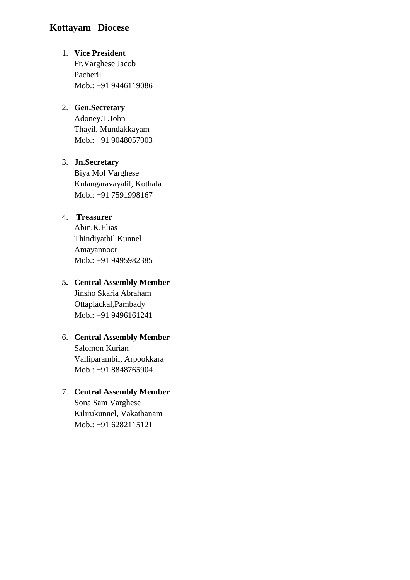# **Kottayam Diocese**

1. **Vice President**

Fr.Varghese Jacob Pacheril Mob.: +91 9446119086

## 2. **Gen.Secretary**

Adoney.T.John Thayil, Mundakkayam Mob.: +91 9048057003

# 3. **Jn.Secretary** Biya Mol Varghese Kulangaravayalil, Kothala

Mob.: +91 7591998167

# 4. **Treasurer**

Abin.K.Elias Thindiyathil Kunnel Amayannoor Mob.: +91 9495982385

# **5. Central Assembly Member**

Jinsho Skaria Abraham Ottaplackal,Pambady Mob.: +91 9496161241

# 6. **Central Assembly Member**

Salomon Kurian Valliparambil, Arpookkara Mob.: +91 8848765904

# 7. **Central Assembly Member**

Sona Sam Varghese Kilirukunnel, Vakathanam Mob.: +91 6282115121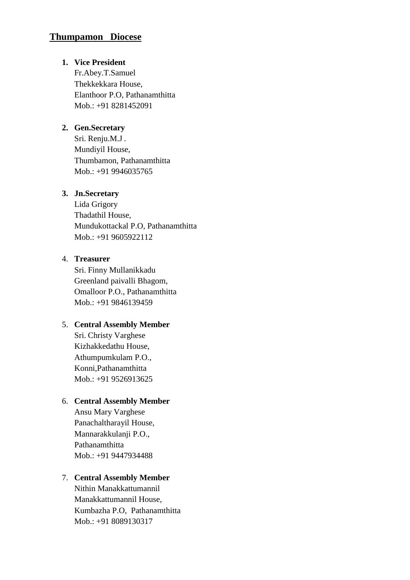## **Thumpamon Diocese**

#### **1. Vice President**

Fr.Abey.T.Samuel Thekkekkara House, Elanthoor P.O, Pathanamthitta Mob.: +91 8281452091

#### **2. Gen.Secretary**

Sri. Renju.M.J . Mundiyil House, Thumbamon, Pathanamthitta Mob.: +91 9946035765

#### **3. Jn.Secretary**

Lida Grigory Thadathil House, Mundukottackal P.O, Pathanamthitta Mob.: +91 9605922112

## 4. **Treasurer**

Sri. Finny Mullanikkadu Greenland paivalli Bhagom, Omalloor P.O., Pathanamthitta Mob.: +91 9846139459

#### 5. **Central Assembly Member**

Sri. Christy Varghese Kizhakkedathu House, Athumpumkulam P.O., Konni,Pathanamthitta Mob.: +91 9526913625

#### 6. **Central Assembly Member**

Ansu Mary Varghese Panachaltharayil House, Mannarakkulanji P.O., Pathanamthitta Mob.: +91 9447934488

#### 7. **Central Assembly Member**

Nithin Manakkattumannil Manakkattumannil House, Kumbazha P.O, Pathanamthitta Mob.: +91 8089130317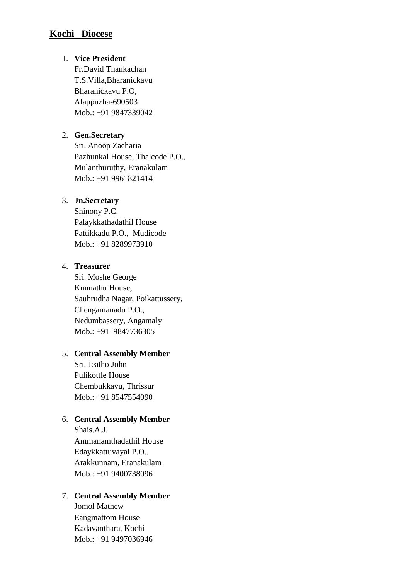# **Kochi Diocese**

# 1. **Vice President**

Fr.David Thankachan T.S.Villa,Bharanickavu Bharanickavu P.O, Alappuzha-690503 Mob.: +91 9847339042

#### 2. **Gen.Secretary**

Sri. Anoop Zacharia Pazhunkal House, Thalcode P.O., Mulanthuruthy, Eranakulam Mob.: +91 9961821414

## 3. **Jn.Secretary**

Shinony P.C. Palaykkathadathil House Pattikkadu P.O., Mudicode Mob.: +91 8289973910

#### 4. **Treasurer**

Sri. Moshe George Kunnathu House, Sauhrudha Nagar, Poikattussery, Chengamanadu P.O., Nedumbassery, Angamaly Mob.: +91 9847736305

#### 5. **Central Assembly Member**

Sri. Jeatho John Pulikottle House Chembukkavu, Thrissur Mob.: +91 8547554090

# 6. **Central Assembly Member**

Shais.A.J. Ammanamthadathil House Edaykkattuvayal P.O., Arakkunnam, Eranakulam Mob.: +91 9400738096

## 7. **Central Assembly Member**

Jomol Mathew Eangmattom House Kadavanthara, Kochi Mob.: +91 9497036946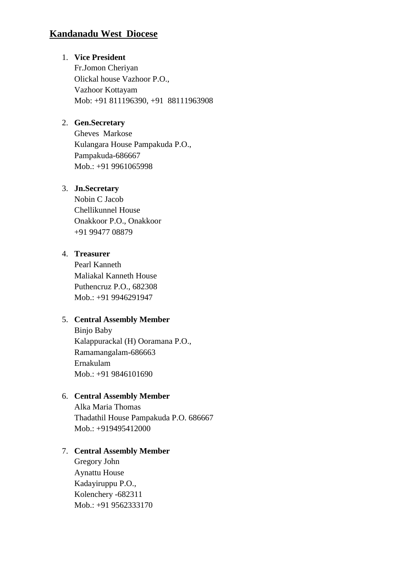# **Kandanadu West Diocese**

## 1. **Vice President**

Fr.Jomon Cheriyan Olickal house Vazhoor P.O., Vazhoor Kottayam Mob: +91 811196390, +91 88111963908

# 2. **Gen.Secretary**

Gheves Markose Kulangara House Pampakuda P.O., Pampakuda-686667 Mob.: +91 9961065998

# 3. **Jn.Secretary**

Nobin C Jacob Chellikunnel House Onakkoor P.O., Onakkoor +91 99477 08879

# 4. **Treasurer**

Pearl Kanneth Maliakal Kanneth House Puthencruz P.O., 682308 Mob.: +91 9946291947

# 5. **Central Assembly Member**

Binjo Baby Kalappurackal (H) Ooramana P.O., Ramamangalam-686663 Ernakulam Mob.: +91 9846101690

# 6. **Central Assembly Member**

Alka Maria Thomas Thadathil House Pampakuda P.O. 686667 Mob.: +919495412000

# 7. **Central Assembly Member**

Gregory John Aynattu House Kadayiruppu P.O., Kolenchery -682311 Mob.: +91 9562333170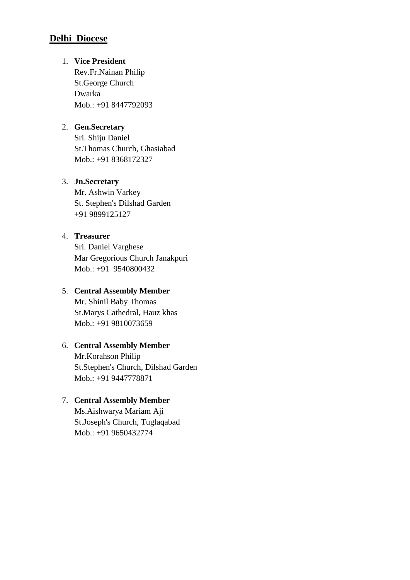# **Delhi Diocese**

#### 1. **Vice President**

Rev.Fr.Nainan Philip St.George Church Dwarka Mob.: +91 8447792093

# 2. **Gen.Secretary**

Sri. Shiju Daniel St.Thomas Church, Ghasiabad Mob.: +91 8368172327

## 3. **Jn.Secretary**

Mr. Ashwin Varkey St. Stephen's Dilshad Garden +91 9899125127

# 4. **Treasurer**

Sri. Daniel Varghese Mar Gregorious Church Janakpuri Mob.: +91 9540800432

# 5. **Central Assembly Member**

Mr. Shinil Baby Thomas St.Marys Cathedral, Hauz khas Mob.: +91 9810073659

# 6. **Central Assembly Member** Mr.Korahson Philip St.Stephen's Church, Dilshad Garden Mob.: +91 9447778871

# 7. **Central Assembly Member**

Ms.Aishwarya Mariam Aji St.Joseph's Church, Tuglaqabad Mob.: +91 9650432774